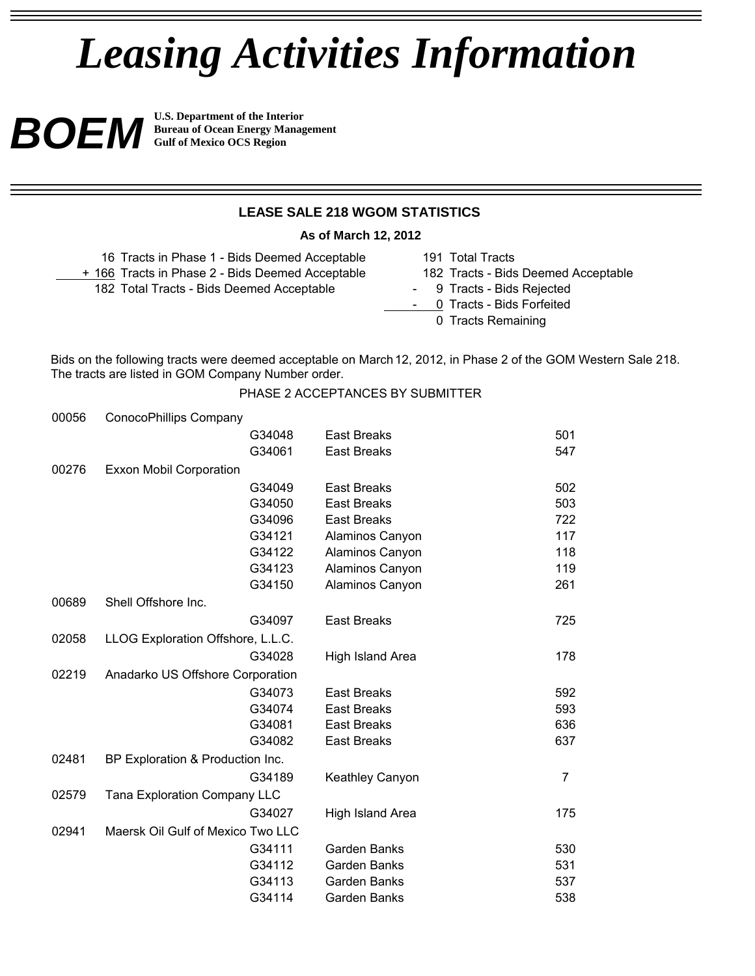# *Leasing Activities Information*

**BOEM U.S. Department of the Interior Structure in Section**<br>Gulf of Mexico OCS Region **Bureau of Ocean Energy Management Gulf of Mexico OCS Region**

# **LEASE SALE 218 WGOM STATISTICS**

**As of March 12, 2012**

| 16 Tracts in Phase 1 - Bids Deemed Acceptable    | 191 Total Tracts                    |
|--------------------------------------------------|-------------------------------------|
| + 166 Tracts in Phase 2 - Bids Deemed Acceptable | 182 Tracts - Bids Deemed Acceptable |
| 182 Total Tracts - Bids Deemed Acceptable        | - 9 Tracts - Bids Rejected          |
|                                                  | - 0 Tracts - Bids Forfeited         |
|                                                  | 0 Tracts Remaining                  |

Bids on the following tracts were deemed acceptable on March 12, 2012, in Phase 2 of the GOM Western Sale 218. The tracts are listed in GOM Company Number order.

## PHASE 2 ACCEPTANCES BY SUBMITTER

| 00056 | ConocoPhillips Company              |                        |                |
|-------|-------------------------------------|------------------------|----------------|
|       | G34048                              | <b>East Breaks</b>     | 501            |
|       | G34061                              | <b>East Breaks</b>     | 547            |
| 00276 | <b>Exxon Mobil Corporation</b>      |                        |                |
|       | G34049                              | <b>East Breaks</b>     | 502            |
|       | G34050                              | <b>East Breaks</b>     | 503            |
|       | G34096                              | <b>East Breaks</b>     | 722            |
|       | G34121                              | Alaminos Canyon        | 117            |
|       | G34122                              | Alaminos Canyon        | 118            |
|       | G34123                              | Alaminos Canyon        | 119            |
|       | G34150                              | Alaminos Canyon        | 261            |
| 00689 | Shell Offshore Inc.                 |                        |                |
|       | G34097                              | <b>East Breaks</b>     | 725            |
| 02058 | LLOG Exploration Offshore, L.L.C.   |                        |                |
|       | G34028                              | High Island Area       | 178            |
| 02219 | Anadarko US Offshore Corporation    |                        |                |
|       | G34073                              | <b>East Breaks</b>     | 592            |
|       | G34074                              | <b>East Breaks</b>     | 593            |
|       | G34081                              | <b>East Breaks</b>     | 636            |
|       | G34082                              | <b>East Breaks</b>     | 637            |
| 02481 | BP Exploration & Production Inc.    |                        |                |
|       | G34189                              | <b>Keathley Canyon</b> | $\overline{7}$ |
| 02579 | <b>Tana Exploration Company LLC</b> |                        |                |
|       | G34027                              | High Island Area       | 175            |
| 02941 | Maersk Oil Gulf of Mexico Two LLC   |                        |                |
|       | G34111                              | <b>Garden Banks</b>    | 530            |
|       | G34112                              | <b>Garden Banks</b>    | 531            |
|       | G34113                              | Garden Banks           | 537            |
|       | G34114                              | Garden Banks           | 538            |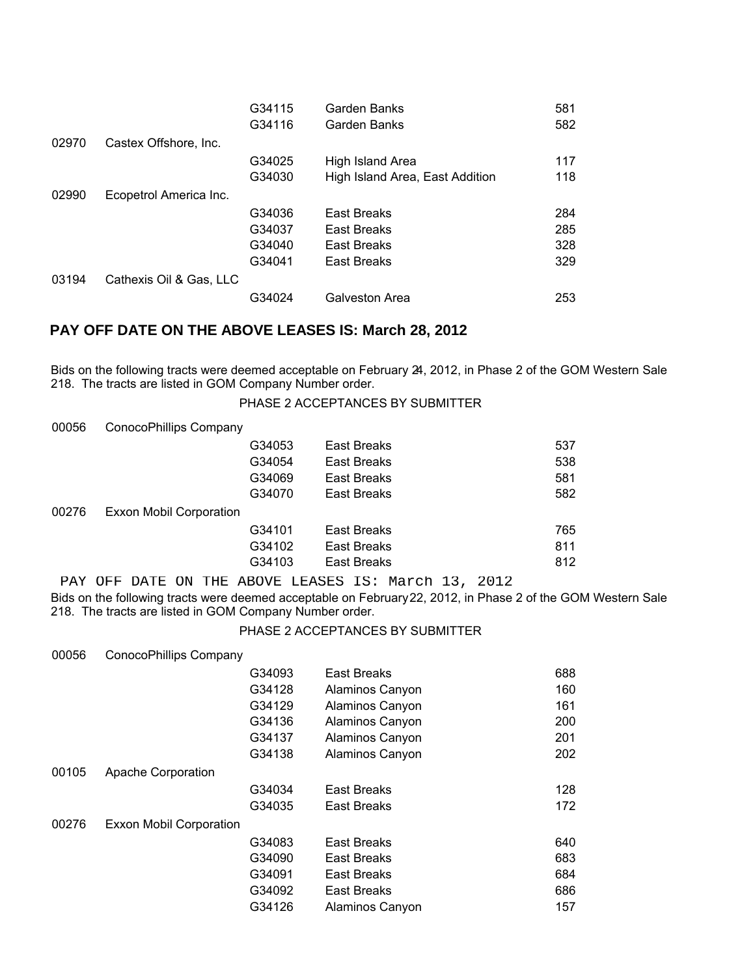|       |                         | G34115 | Garden Banks                    | 581 |
|-------|-------------------------|--------|---------------------------------|-----|
|       |                         | G34116 | Garden Banks                    | 582 |
| 02970 | Castex Offshore, Inc.   |        |                                 |     |
|       |                         | G34025 | High Island Area                | 117 |
|       |                         | G34030 | High Island Area, East Addition | 118 |
| 02990 | Ecopetrol America Inc.  |        |                                 |     |
|       |                         | G34036 | East Breaks                     | 284 |
|       |                         | G34037 | East Breaks                     | 285 |
|       |                         | G34040 | East Breaks                     | 328 |
|       |                         | G34041 | <b>East Breaks</b>              | 329 |
| 03194 | Cathexis Oil & Gas, LLC |        |                                 |     |
|       |                         | G34024 | Galveston Area                  | 253 |

# **PAY OFF DATE ON THE ABOVE LEASES IS: March 28, 2012**

Bids on the following tracts were deemed acceptable on February 24, 2012, in Phase 2 of the GOM Western Sale 218. The tracts are listed in GOM Company Number order.

PHASE 2 ACCEPTANCES BY SUBMITTER

| 00056 | ConocoPhillips Company  |        |             |     |  |
|-------|-------------------------|--------|-------------|-----|--|
|       |                         | G34053 | East Breaks | 537 |  |
|       |                         | G34054 | East Breaks | 538 |  |
|       |                         | G34069 | East Breaks | 581 |  |
|       |                         | G34070 | East Breaks | 582 |  |
| 00276 | Exxon Mobil Corporation |        |             |     |  |
|       |                         | G34101 | East Breaks | 765 |  |
|       |                         | G34102 | East Breaks | 811 |  |
|       |                         | G34103 | East Breaks | 812 |  |
|       |                         |        |             |     |  |

Bids on the following tracts were deemed acceptable on February 22, 2012, in Phase 2 of the GOM Western Sale 218. The tracts are listed in GOM Company Number order. PAY OFF DATE ON THE ABOVE LEASES IS: March 13, 2012

#### PHASE 2 ACCEPTANCES BY SUBMITTER

| 00056 | ConocoPhillips Company         |        |                 |     |
|-------|--------------------------------|--------|-----------------|-----|
|       |                                | G34093 | East Breaks     | 688 |
|       |                                | G34128 | Alaminos Canyon | 160 |
|       |                                | G34129 | Alaminos Canyon | 161 |
|       |                                | G34136 | Alaminos Canyon | 200 |
|       |                                | G34137 | Alaminos Canyon | 201 |
|       |                                | G34138 | Alaminos Canyon | 202 |
| 00105 | Apache Corporation             |        |                 |     |
|       |                                | G34034 | East Breaks     | 128 |
|       |                                | G34035 | East Breaks     | 172 |
| 00276 | <b>Exxon Mobil Corporation</b> |        |                 |     |
|       |                                | G34083 | East Breaks     | 640 |
|       |                                | G34090 | East Breaks     | 683 |
|       |                                | G34091 | East Breaks     | 684 |
|       |                                | G34092 | East Breaks     | 686 |
|       |                                | G34126 | Alaminos Canyon | 157 |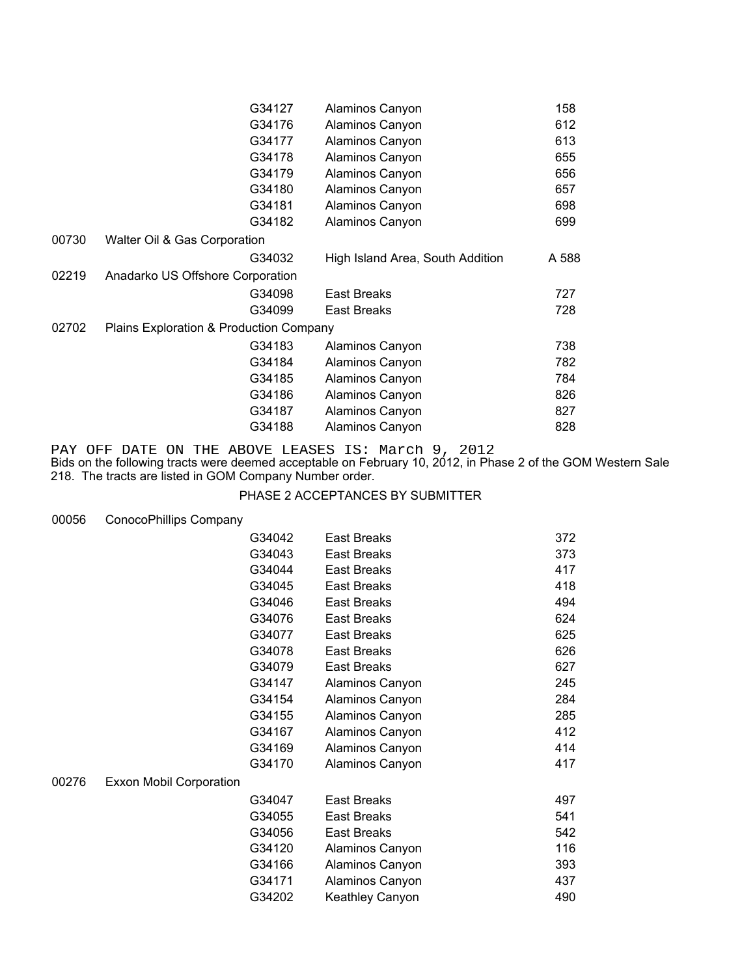|       | G34127                                  | Alaminos Canyon                  | 158   |
|-------|-----------------------------------------|----------------------------------|-------|
|       | G34176                                  | Alaminos Canyon                  | 612   |
|       | G34177                                  | Alaminos Canyon                  | 613   |
|       | G34178                                  | Alaminos Canyon                  | 655   |
|       | G34179                                  | Alaminos Canyon                  | 656   |
|       | G34180                                  | Alaminos Canyon                  | 657   |
|       | G34181                                  | Alaminos Canyon                  | 698   |
|       | G34182                                  | Alaminos Canyon                  | 699   |
| 00730 | Walter Oil & Gas Corporation            |                                  |       |
|       | G34032                                  | High Island Area, South Addition | A 588 |
| 02219 | Anadarko US Offshore Corporation        |                                  |       |
|       | G34098                                  | East Breaks                      | 727   |
|       | G34099                                  | East Breaks                      | 728   |
| 02702 | Plains Exploration & Production Company |                                  |       |
|       | G34183                                  | Alaminos Canyon                  | 738   |
|       | G34184                                  | Alaminos Canyon                  | 782   |
|       | G34185                                  | Alaminos Canyon                  | 784   |
|       | G34186                                  | Alaminos Canyon                  | 826   |
|       | G34187                                  | Alaminos Canyon                  | 827   |
|       | G34188                                  | Alaminos Canyon                  | 828   |

PAY OFF DATE ON THE ABOVE LEASES IS: March 9, 2012

Bids on the following tracts were deemed acceptable on February 10, 2012, in Phase 2 of the GOM Western Sale 218. The tracts are listed in GOM Company Number order.

## PHASE 2 ACCEPTANCES BY SUBMITTER

#### 00056 ConocoPhillips Company

|       |                                | G34042 | <b>East Breaks</b>     | 372 |
|-------|--------------------------------|--------|------------------------|-----|
|       |                                | G34043 | <b>East Breaks</b>     | 373 |
|       |                                | G34044 | <b>East Breaks</b>     | 417 |
|       |                                | G34045 | <b>East Breaks</b>     | 418 |
|       |                                | G34046 | <b>East Breaks</b>     | 494 |
|       |                                | G34076 | <b>East Breaks</b>     | 624 |
|       |                                | G34077 | <b>East Breaks</b>     | 625 |
|       |                                | G34078 | <b>East Breaks</b>     | 626 |
|       |                                | G34079 | <b>East Breaks</b>     | 627 |
|       |                                | G34147 | Alaminos Canyon        | 245 |
|       |                                | G34154 | Alaminos Canyon        | 284 |
|       |                                | G34155 | Alaminos Canyon        | 285 |
|       |                                | G34167 | Alaminos Canyon        | 412 |
|       |                                | G34169 | Alaminos Canyon        | 414 |
|       |                                | G34170 | Alaminos Canyon        | 417 |
| 00276 | <b>Exxon Mobil Corporation</b> |        |                        |     |
|       |                                | G34047 | <b>East Breaks</b>     | 497 |
|       |                                | G34055 | <b>East Breaks</b>     | 541 |
|       |                                | G34056 | <b>East Breaks</b>     | 542 |
|       |                                | G34120 | Alaminos Canyon        | 116 |
|       |                                | G34166 | Alaminos Canyon        | 393 |
|       |                                | G34171 | Alaminos Canyon        | 437 |
|       |                                | G34202 | <b>Keathley Canyon</b> | 490 |
|       |                                |        |                        |     |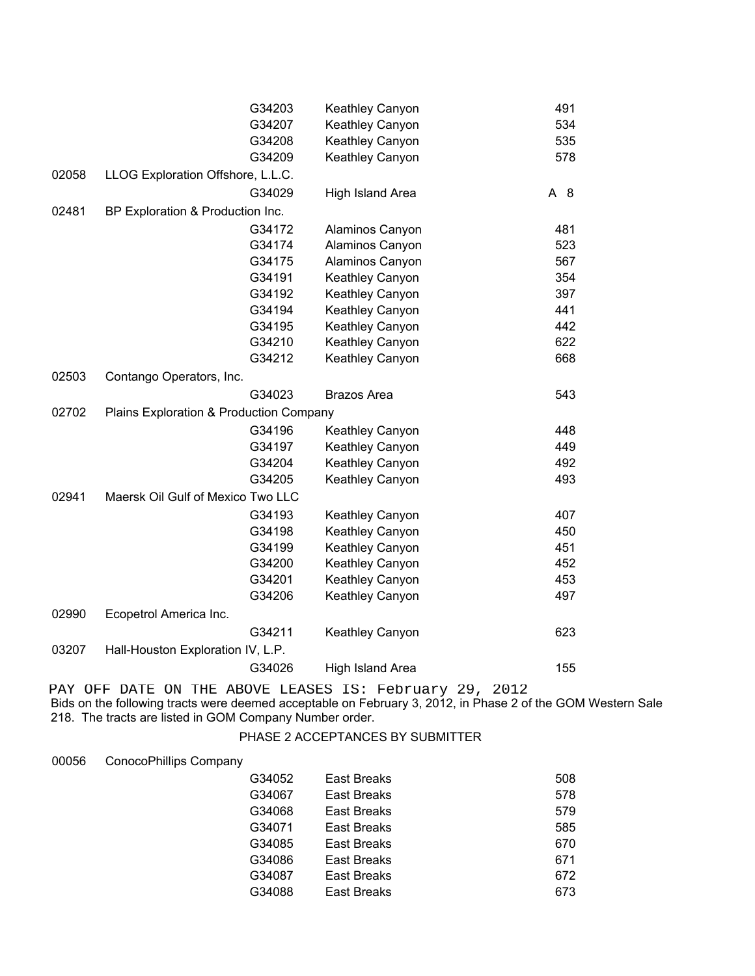|       |                                         | G34203 | Keathley Canyon    | 491 |
|-------|-----------------------------------------|--------|--------------------|-----|
|       |                                         | G34207 | Keathley Canyon    | 534 |
|       |                                         | G34208 | Keathley Canyon    | 535 |
|       |                                         | G34209 | Keathley Canyon    | 578 |
| 02058 | LLOG Exploration Offshore, L.L.C.       |        |                    |     |
|       |                                         | G34029 | High Island Area   | A 8 |
| 02481 | BP Exploration & Production Inc.        |        |                    |     |
|       |                                         | G34172 | Alaminos Canyon    | 481 |
|       |                                         | G34174 | Alaminos Canyon    | 523 |
|       |                                         | G34175 | Alaminos Canyon    | 567 |
|       |                                         | G34191 | Keathley Canyon    | 354 |
|       |                                         | G34192 | Keathley Canyon    | 397 |
|       |                                         | G34194 | Keathley Canyon    | 441 |
|       |                                         | G34195 | Keathley Canyon    | 442 |
|       |                                         | G34210 | Keathley Canyon    | 622 |
|       |                                         | G34212 | Keathley Canyon    | 668 |
| 02503 | Contango Operators, Inc.                |        |                    |     |
|       |                                         | G34023 | <b>Brazos Area</b> | 543 |
| 02702 | Plains Exploration & Production Company |        |                    |     |
|       |                                         | G34196 | Keathley Canyon    | 448 |
|       |                                         | G34197 | Keathley Canyon    | 449 |
|       |                                         | G34204 | Keathley Canyon    | 492 |
|       |                                         | G34205 | Keathley Canyon    | 493 |
| 02941 | Maersk Oil Gulf of Mexico Two LLC       |        |                    |     |
|       |                                         | G34193 | Keathley Canyon    | 407 |
|       |                                         | G34198 | Keathley Canyon    | 450 |
|       |                                         | G34199 | Keathley Canyon    | 451 |
|       |                                         | G34200 | Keathley Canyon    | 452 |
|       |                                         | G34201 | Keathley Canyon    | 453 |
|       |                                         | G34206 | Keathley Canyon    | 497 |
| 02990 | Ecopetrol America Inc.                  |        |                    |     |
|       |                                         | G34211 | Keathley Canyon    | 623 |
| 03207 | Hall-Houston Exploration IV, L.P.       |        |                    |     |
|       |                                         | G34026 | High Island Area   | 155 |
|       |                                         |        |                    |     |

Bids on the following tracts were deemed acceptable on February 3, 2012, in Phase 2 of the GOM Western Sale 218. The tracts are listed in GOM Company Number order. PAY OFF DATE ON THE ABOVE LEASES IS: February 29, 2012

## PHASE 2 ACCEPTANCES BY SUBMITTER

#### 00056 ConocoPhillips Company

| G34052 | East Breaks | 508 |
|--------|-------------|-----|
| G34067 | East Breaks | 578 |
| G34068 | East Breaks | 579 |
| G34071 | East Breaks | 585 |
| G34085 | East Breaks | 670 |
| G34086 | East Breaks | 671 |
| G34087 | East Breaks | 672 |
| G34088 | East Breaks | 673 |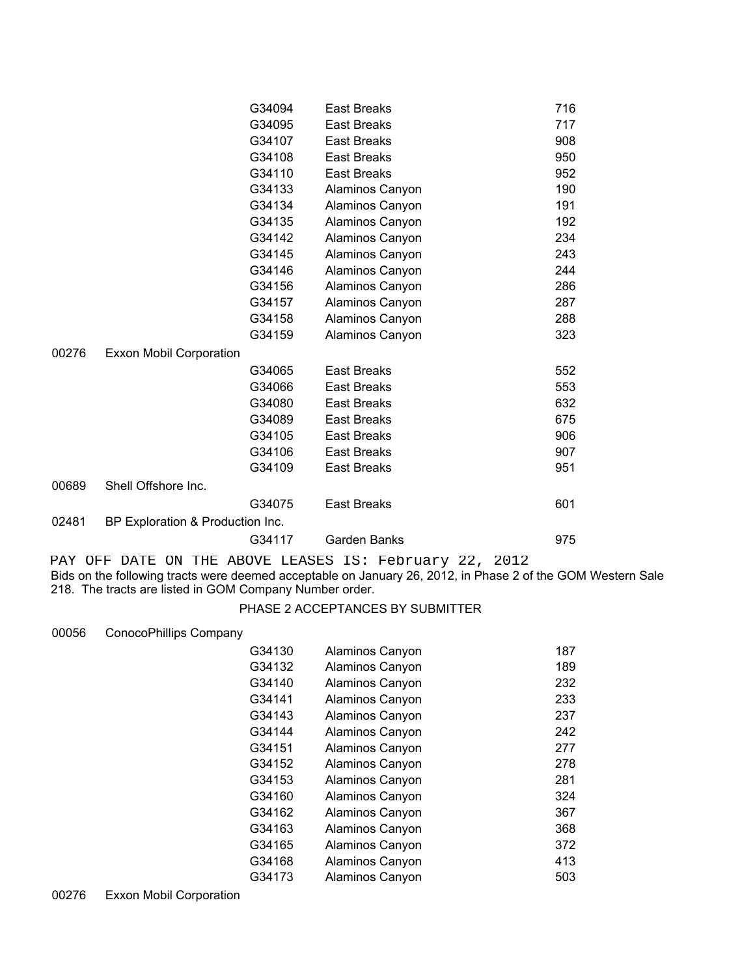|       |                                  | G34094 | <b>East Breaks</b> | 716 |
|-------|----------------------------------|--------|--------------------|-----|
|       |                                  | G34095 | <b>East Breaks</b> | 717 |
|       |                                  | G34107 | <b>East Breaks</b> | 908 |
|       |                                  | G34108 | <b>East Breaks</b> | 950 |
|       |                                  | G34110 | <b>East Breaks</b> | 952 |
|       |                                  | G34133 | Alaminos Canyon    | 190 |
|       |                                  | G34134 | Alaminos Canyon    | 191 |
|       |                                  | G34135 | Alaminos Canyon    | 192 |
|       |                                  | G34142 | Alaminos Canyon    | 234 |
|       |                                  | G34145 | Alaminos Canyon    | 243 |
|       |                                  | G34146 | Alaminos Canyon    | 244 |
|       |                                  | G34156 | Alaminos Canyon    | 286 |
|       |                                  | G34157 | Alaminos Canyon    | 287 |
|       |                                  | G34158 | Alaminos Canyon    | 288 |
|       |                                  | G34159 | Alaminos Canyon    | 323 |
| 00276 | <b>Exxon Mobil Corporation</b>   |        |                    |     |
|       |                                  | G34065 | <b>East Breaks</b> | 552 |
|       |                                  | G34066 | <b>East Breaks</b> | 553 |
|       |                                  | G34080 | <b>East Breaks</b> | 632 |
|       |                                  | G34089 | <b>East Breaks</b> | 675 |
|       |                                  | G34105 | <b>East Breaks</b> | 906 |
|       |                                  | G34106 | <b>East Breaks</b> | 907 |
|       |                                  | G34109 | <b>East Breaks</b> | 951 |
| 00689 | Shell Offshore Inc.              |        |                    |     |
|       |                                  | G34075 | <b>East Breaks</b> | 601 |
| 02481 | BP Exploration & Production Inc. |        |                    |     |
|       |                                  | G34117 | Garden Banks       | 975 |

Bids on the following tracts were deemed acceptable on January 26, 2012, in Phase 2 of the GOM Western Sale 218. The tracts are listed in GOM Company Number order. PAY OFF DATE ON THE ABOVE LEASES IS: February 22, 2012

# PHASE 2 ACCEPTANCES BY SUBMITTER

#### 00056 ConocoPhillips Company

| G34130 | Alaminos Canyon | 187 |
|--------|-----------------|-----|
| G34132 | Alaminos Canyon | 189 |
| G34140 | Alaminos Canyon | 232 |
| G34141 | Alaminos Canyon | 233 |
| G34143 | Alaminos Canyon | 237 |
| G34144 | Alaminos Canyon | 242 |
| G34151 | Alaminos Canyon | 277 |
| G34152 | Alaminos Canyon | 278 |
| G34153 | Alaminos Canyon | 281 |
| G34160 | Alaminos Canyon | 324 |
| G34162 | Alaminos Canyon | 367 |
| G34163 | Alaminos Canyon | 368 |
| G34165 | Alaminos Canyon | 372 |
| G34168 | Alaminos Canyon | 413 |
| G34173 | Alaminos Canyon | 503 |
|        |                 |     |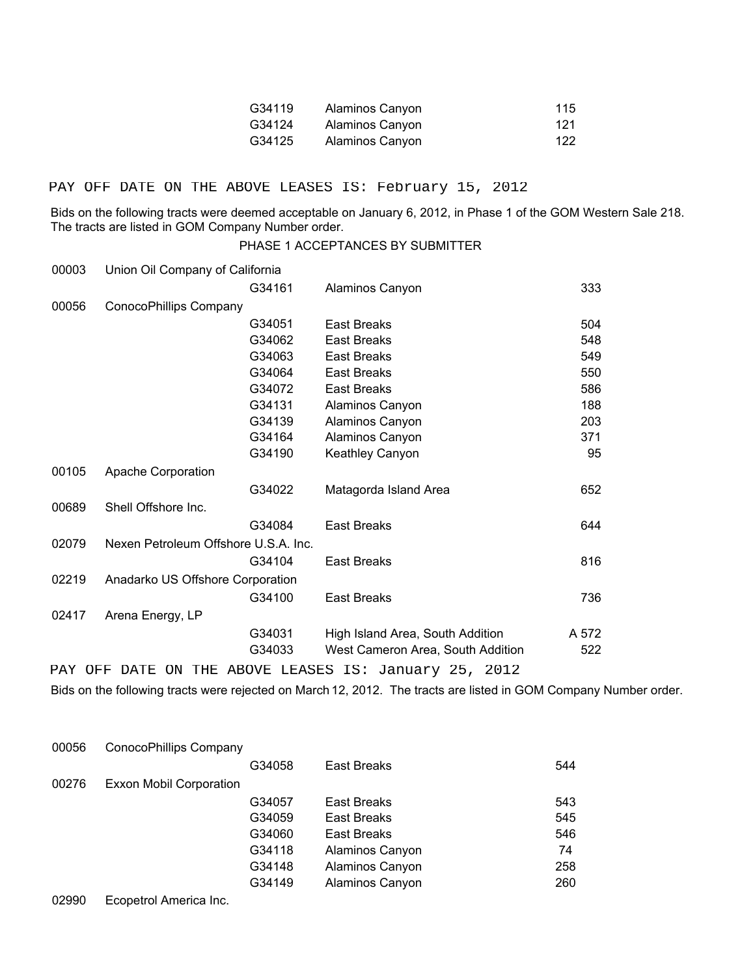| G34119 | Alaminos Canyon | 115 |
|--------|-----------------|-----|
| G34124 | Alaminos Canyon | 121 |
| G34125 | Alaminos Canyon | 122 |

#### PAY OFF DATE ON THE ABOVE LEASES IS: February 15, 2012

Bids on the following tracts were deemed acceptable on January 6, 2012, in Phase 1 of the GOM Western Sale 218. The tracts are listed in GOM Company Number order.

#### PHASE 1 ACCEPTANCES BY SUBMITTER

| 00003 | Union Oil Company of California      |        |                                   |       |  |  |
|-------|--------------------------------------|--------|-----------------------------------|-------|--|--|
|       |                                      | G34161 | Alaminos Canyon                   | 333   |  |  |
| 00056 | ConocoPhillips Company               |        |                                   |       |  |  |
|       |                                      | G34051 | <b>East Breaks</b>                | 504   |  |  |
|       |                                      | G34062 | <b>East Breaks</b>                | 548   |  |  |
|       |                                      | G34063 | <b>East Breaks</b>                | 549   |  |  |
|       |                                      | G34064 | <b>East Breaks</b>                | 550   |  |  |
|       |                                      | G34072 | <b>East Breaks</b>                | 586   |  |  |
|       |                                      | G34131 | Alaminos Canyon                   | 188   |  |  |
|       |                                      | G34139 | Alaminos Canyon                   | 203   |  |  |
|       |                                      | G34164 | Alaminos Canyon                   | 371   |  |  |
|       |                                      | G34190 | <b>Keathley Canyon</b>            | 95    |  |  |
| 00105 | Apache Corporation                   |        |                                   |       |  |  |
|       |                                      | G34022 | Matagorda Island Area             | 652   |  |  |
| 00689 | Shell Offshore Inc.                  |        |                                   |       |  |  |
|       |                                      | G34084 | <b>East Breaks</b>                | 644   |  |  |
| 02079 | Nexen Petroleum Offshore U.S.A. Inc. |        |                                   |       |  |  |
|       |                                      | G34104 | <b>East Breaks</b>                | 816   |  |  |
| 02219 | Anadarko US Offshore Corporation     |        |                                   |       |  |  |
|       |                                      | G34100 | <b>East Breaks</b>                | 736   |  |  |
| 02417 | Arena Energy, LP                     |        |                                   |       |  |  |
|       |                                      | G34031 | High Island Area, South Addition  | A 572 |  |  |
|       |                                      | G34033 | West Cameron Area, South Addition | 522   |  |  |
|       |                                      |        |                                   |       |  |  |

PAY OFF DATE ON THE ABOVE LEASES IS: January 25, 2012

Bids on the following tracts were rejected on March 12, 2012. The tracts are listed in GOM Company Number order.

| 00056 | ConocoPhillips Company         |        |                    |     |  |  |
|-------|--------------------------------|--------|--------------------|-----|--|--|
|       |                                | G34058 | <b>East Breaks</b> | 544 |  |  |
| 00276 | <b>Exxon Mobil Corporation</b> |        |                    |     |  |  |
|       |                                | G34057 | East Breaks        | 543 |  |  |
|       |                                | G34059 | East Breaks        | 545 |  |  |
|       |                                | G34060 | East Breaks        | 546 |  |  |
|       |                                | G34118 | Alaminos Canyon    | 74  |  |  |
|       |                                | G34148 | Alaminos Canyon    | 258 |  |  |
|       |                                | G34149 | Alaminos Canyon    | 260 |  |  |
|       |                                |        |                    |     |  |  |

02990 Ecopetrol America Inc.